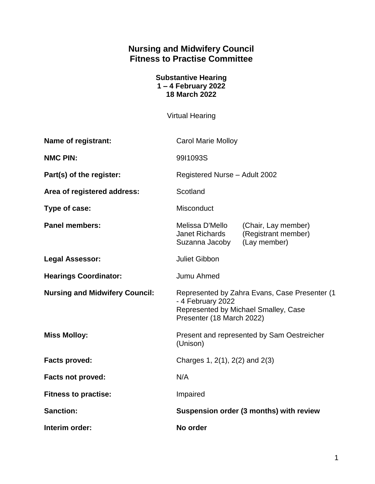# **Nursing and Midwifery Council Fitness to Practise Committee**

| <b>Substantive Hearing</b> |
|----------------------------|
| $1 - 4$ February 2022      |
| <b>18 March 2022</b>       |

Virtual Hearing

| Name of registrant:                   | <b>Carol Marie Molloy</b>                                                                                                                |                                                            |
|---------------------------------------|------------------------------------------------------------------------------------------------------------------------------------------|------------------------------------------------------------|
| <b>NMC PIN:</b>                       | 99I1093S                                                                                                                                 |                                                            |
| Part(s) of the register:              | Registered Nurse - Adult 2002                                                                                                            |                                                            |
| Area of registered address:           | Scotland                                                                                                                                 |                                                            |
| Type of case:                         | Misconduct                                                                                                                               |                                                            |
| <b>Panel members:</b>                 | Melissa D'Mello<br>Janet Richards<br>Suzanna Jacoby                                                                                      | (Chair, Lay member)<br>(Registrant member)<br>(Lay member) |
| <b>Legal Assessor:</b>                | <b>Juliet Gibbon</b>                                                                                                                     |                                                            |
| <b>Hearings Coordinator:</b>          | Jumu Ahmed                                                                                                                               |                                                            |
| <b>Nursing and Midwifery Council:</b> | Represented by Zahra Evans, Case Presenter (1)<br>- 4 February 2022<br>Represented by Michael Smalley, Case<br>Presenter (18 March 2022) |                                                            |
| <b>Miss Molloy:</b>                   | Present and represented by Sam Oestreicher<br>(Unison)                                                                                   |                                                            |
| <b>Facts proved:</b>                  | Charges 1, 2(1), 2(2) and 2(3)                                                                                                           |                                                            |
| <b>Facts not proved:</b>              | N/A                                                                                                                                      |                                                            |
| <b>Fitness to practise:</b>           | Impaired                                                                                                                                 |                                                            |
| <b>Sanction:</b>                      | Suspension order (3 months) with review                                                                                                  |                                                            |
| Interim order:                        | No order                                                                                                                                 |                                                            |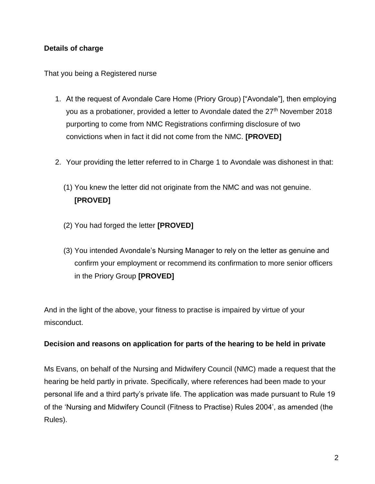## **Details of charge**

That you being a Registered nurse

- 1. At the request of Avondale Care Home (Priory Group) ["Avondale"], then employing you as a probationer, provided a letter to Avondale dated the 27<sup>th</sup> November 2018 purporting to come from NMC Registrations confirming disclosure of two convictions when in fact it did not come from the NMC. **[PROVED]**
- 2. Your providing the letter referred to in Charge 1 to Avondale was dishonest in that:
	- (1) You knew the letter did not originate from the NMC and was not genuine. **[PROVED]**
	- (2) You had forged the letter **[PROVED]**
	- (3) You intended Avondale's Nursing Manager to rely on the letter as genuine and confirm your employment or recommend its confirmation to more senior officers in the Priory Group **[PROVED]**

And in the light of the above, your fitness to practise is impaired by virtue of your misconduct.

#### **Decision and reasons on application for parts of the hearing to be held in private**

Ms Evans, on behalf of the Nursing and Midwifery Council (NMC) made a request that the hearing be held partly in private. Specifically, where references had been made to your personal life and a third party's private life. The application was made pursuant to Rule 19 of the 'Nursing and Midwifery Council (Fitness to Practise) Rules 2004', as amended (the Rules).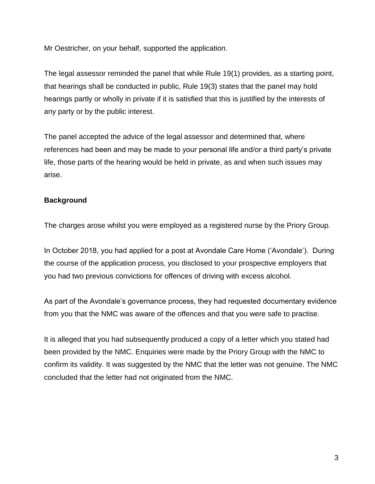Mr Oestricher, on your behalf, supported the application.

The legal assessor reminded the panel that while Rule 19(1) provides, as a starting point, that hearings shall be conducted in public, Rule 19(3) states that the panel may hold hearings partly or wholly in private if it is satisfied that this is justified by the interests of any party or by the public interest.

The panel accepted the advice of the legal assessor and determined that, where references had been and may be made to your personal life and/or a third party's private life, those parts of the hearing would be held in private, as and when such issues may arise.

### **Background**

The charges arose whilst you were employed as a registered nurse by the Priory Group.

In October 2018, you had applied for a post at Avondale Care Home ('Avondale'). During the course of the application process, you disclosed to your prospective employers that you had two previous convictions for offences of driving with excess alcohol.

As part of the Avondale's governance process, they had requested documentary evidence from you that the NMC was aware of the offences and that you were safe to practise.

It is alleged that you had subsequently produced a copy of a letter which you stated had been provided by the NMC. Enquiries were made by the Priory Group with the NMC to confirm its validity. It was suggested by the NMC that the letter was not genuine. The NMC concluded that the letter had not originated from the NMC.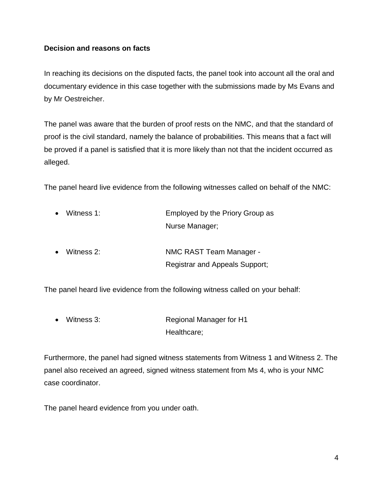#### **Decision and reasons on facts**

In reaching its decisions on the disputed facts, the panel took into account all the oral and documentary evidence in this case together with the submissions made by Ms Evans and by Mr Oestreicher.

The panel was aware that the burden of proof rests on the NMC, and that the standard of proof is the civil standard, namely the balance of probabilities. This means that a fact will be proved if a panel is satisfied that it is more likely than not that the incident occurred as alleged.

The panel heard live evidence from the following witnesses called on behalf of the NMC:

| $\bullet$ | Witness 1: | Employed by the Priory Group as       |  |
|-----------|------------|---------------------------------------|--|
|           |            | Nurse Manager;                        |  |
| $\bullet$ | Witness 2: | NMC RAST Team Manager -               |  |
|           |            | <b>Registrar and Appeals Support;</b> |  |

The panel heard live evidence from the following witness called on your behalf:

 Witness 3: Regional Manager for H1 Healthcare;

Furthermore, the panel had signed witness statements from Witness 1 and Witness 2. The panel also received an agreed, signed witness statement from Ms 4, who is your NMC case coordinator.

The panel heard evidence from you under oath.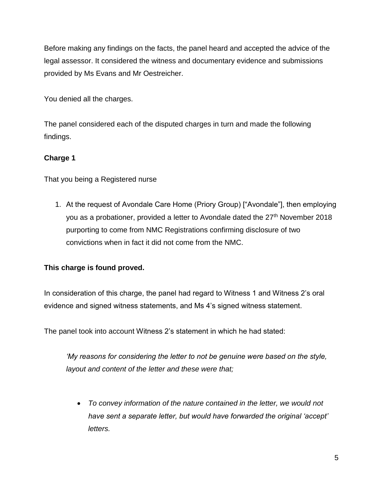Before making any findings on the facts, the panel heard and accepted the advice of the legal assessor. It considered the witness and documentary evidence and submissions provided by Ms Evans and Mr Oestreicher.

You denied all the charges.

The panel considered each of the disputed charges in turn and made the following findings.

# **Charge 1**

That you being a Registered nurse

1. At the request of Avondale Care Home (Priory Group) ["Avondale"], then employing you as a probationer, provided a letter to Avondale dated the  $27<sup>th</sup>$  November 2018 purporting to come from NMC Registrations confirming disclosure of two convictions when in fact it did not come from the NMC.

# **This charge is found proved.**

In consideration of this charge, the panel had regard to Witness 1 and Witness 2's oral evidence and signed witness statements, and Ms 4's signed witness statement.

The panel took into account Witness 2's statement in which he had stated:

*'My reasons for considering the letter to not be genuine were based on the style, layout and content of the letter and these were that;*

 *To convey information of the nature contained in the letter, we would not have sent a separate letter, but would have forwarded the original 'accept' letters.*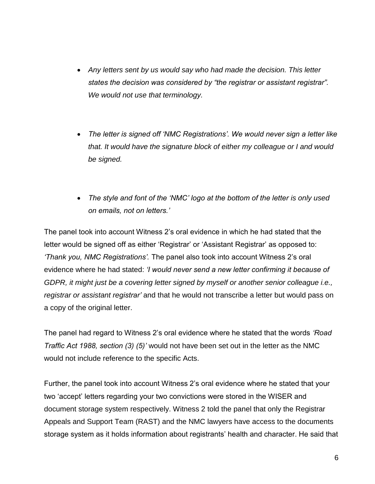- *Any letters sent by us would say who had made the decision. This letter states the decision was considered by "the registrar or assistant registrar". We would not use that terminology.*
- *The letter is signed off 'NMC Registrations'. We would never sign a letter like that. It would have the signature block of either my colleague or I and would be signed.*
- *The style and font of the 'NMC' logo at the bottom of the letter is only used on emails, not on letters.'*

The panel took into account Witness 2's oral evidence in which he had stated that the letter would be signed off as either 'Registrar' or 'Assistant Registrar' as opposed to: *'Thank you, NMC Registrations'.* The panel also took into account Witness 2's oral evidence where he had stated: *'I would never send a new letter confirming it because of GDPR, it might just be a covering letter signed by myself or another senior colleague i.e., registrar or assistant registrar'* and that he would not transcribe a letter but would pass on a copy of the original letter.

The panel had regard to Witness 2's oral evidence where he stated that the words *'Road Traffic Act 1988, section (3) (5)'* would not have been set out in the letter as the NMC would not include reference to the specific Acts.

Further, the panel took into account Witness 2's oral evidence where he stated that your two 'accept' letters regarding your two convictions were stored in the WISER and document storage system respectively. Witness 2 told the panel that only the Registrar Appeals and Support Team (RAST) and the NMC lawyers have access to the documents storage system as it holds information about registrants' health and character. He said that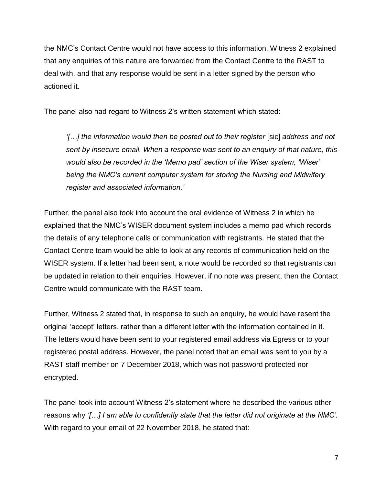the NMC's Contact Centre would not have access to this information. Witness 2 explained that any enquiries of this nature are forwarded from the Contact Centre to the RAST to deal with, and that any response would be sent in a letter signed by the person who actioned it.

The panel also had regard to Witness 2's written statement which stated:

*'[…] the information would then be posted out to their register* [sic] *address and not sent by insecure email. When a response was sent to an enquiry of that nature, this would also be recorded in the 'Memo pad' section of the Wiser system, 'Wiser' being the NMC's current computer system for storing the Nursing and Midwifery register and associated information.'*

Further, the panel also took into account the oral evidence of Witness 2 in which he explained that the NMC's WISER document system includes a memo pad which records the details of any telephone calls or communication with registrants. He stated that the Contact Centre team would be able to look at any records of communication held on the WISER system. If a letter had been sent, a note would be recorded so that registrants can be updated in relation to their enquiries. However, if no note was present, then the Contact Centre would communicate with the RAST team.

Further, Witness 2 stated that, in response to such an enquiry, he would have resent the original 'accept' letters, rather than a different letter with the information contained in it. The letters would have been sent to your registered email address via Egress or to your registered postal address. However, the panel noted that an email was sent to you by a RAST staff member on 7 December 2018, which was not password protected nor encrypted.

The panel took into account Witness 2's statement where he described the various other reasons why *'[…] I am able to confidently state that the letter did not originate at the NMC'.*  With regard to your email of 22 November 2018, he stated that: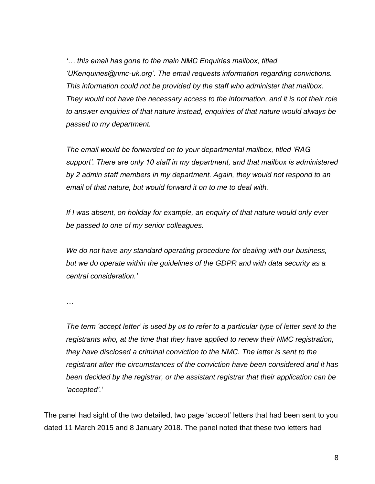*'… this email has gone to the main NMC Enquiries mailbox, titled 'UKenquiries@nmc-uk.org'. The email requests information regarding convictions. This information could not be provided by the staff who administer that mailbox. They would not have the necessary access to the information, and it is not their role to answer enquiries of that nature instead, enquiries of that nature would always be passed to my department.*

*The email would be forwarded on to your departmental mailbox, titled 'RAG support'. There are only 10 staff in my department, and that mailbox is administered by 2 admin staff members in my department. Again, they would not respond to an email of that nature, but would forward it on to me to deal with.*

*If I was absent, on holiday for example, an enquiry of that nature would only ever be passed to one of my senior colleagues.* 

*We do not have any standard operating procedure for dealing with our business, but we do operate within the guidelines of the GDPR and with data security as a central consideration.'*

*…*

*The term 'accept letter' is used by us to refer to a particular type of letter sent to the registrants who, at the time that they have applied to renew their NMC registration, they have disclosed a criminal conviction to the NMC. The letter is sent to the registrant after the circumstances of the conviction have been considered and it has been decided by the registrar, or the assistant registrar that their application can be 'accepted'.'* 

The panel had sight of the two detailed, two page 'accept' letters that had been sent to you dated 11 March 2015 and 8 January 2018. The panel noted that these two letters had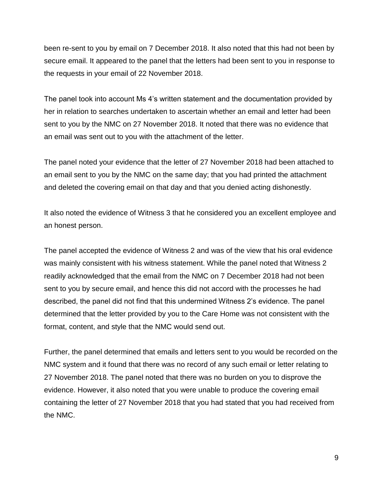been re-sent to you by email on 7 December 2018. It also noted that this had not been by secure email. It appeared to the panel that the letters had been sent to you in response to the requests in your email of 22 November 2018.

The panel took into account Ms 4's written statement and the documentation provided by her in relation to searches undertaken to ascertain whether an email and letter had been sent to you by the NMC on 27 November 2018. It noted that there was no evidence that an email was sent out to you with the attachment of the letter.

The panel noted your evidence that the letter of 27 November 2018 had been attached to an email sent to you by the NMC on the same day; that you had printed the attachment and deleted the covering email on that day and that you denied acting dishonestly.

It also noted the evidence of Witness 3 that he considered you an excellent employee and an honest person.

The panel accepted the evidence of Witness 2 and was of the view that his oral evidence was mainly consistent with his witness statement. While the panel noted that Witness 2 readily acknowledged that the email from the NMC on 7 December 2018 had not been sent to you by secure email, and hence this did not accord with the processes he had described, the panel did not find that this undermined Witness 2's evidence. The panel determined that the letter provided by you to the Care Home was not consistent with the format, content, and style that the NMC would send out.

Further, the panel determined that emails and letters sent to you would be recorded on the NMC system and it found that there was no record of any such email or letter relating to 27 November 2018. The panel noted that there was no burden on you to disprove the evidence. However, it also noted that you were unable to produce the covering email containing the letter of 27 November 2018 that you had stated that you had received from the NMC.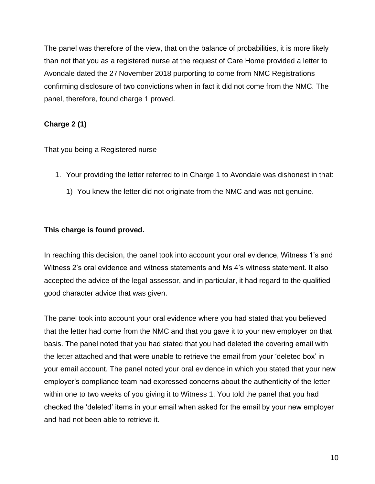The panel was therefore of the view, that on the balance of probabilities, it is more likely than not that you as a registered nurse at the request of Care Home provided a letter to Avondale dated the 27 November 2018 purporting to come from NMC Registrations confirming disclosure of two convictions when in fact it did not come from the NMC. The panel, therefore, found charge 1 proved.

# **Charge 2 (1)**

That you being a Registered nurse

- 1. Your providing the letter referred to in Charge 1 to Avondale was dishonest in that:
	- 1) You knew the letter did not originate from the NMC and was not genuine.

### **This charge is found proved.**

In reaching this decision, the panel took into account your oral evidence, Witness 1's and Witness 2's oral evidence and witness statements and Ms 4's witness statement. It also accepted the advice of the legal assessor, and in particular, it had regard to the qualified good character advice that was given.

The panel took into account your oral evidence where you had stated that you believed that the letter had come from the NMC and that you gave it to your new employer on that basis. The panel noted that you had stated that you had deleted the covering email with the letter attached and that were unable to retrieve the email from your 'deleted box' in your email account. The panel noted your oral evidence in which you stated that your new employer's compliance team had expressed concerns about the authenticity of the letter within one to two weeks of you giving it to Witness 1. You told the panel that you had checked the 'deleted' items in your email when asked for the email by your new employer and had not been able to retrieve it.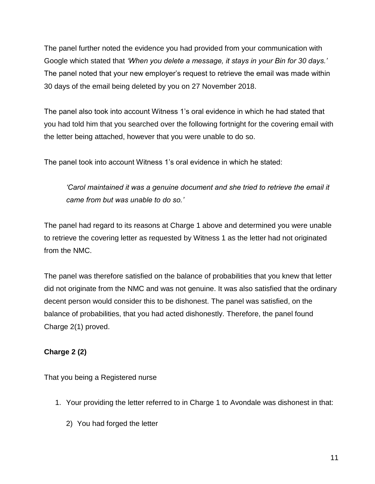The panel further noted the evidence you had provided from your communication with Google which stated that *'When you delete a message, it stays in your Bin for 30 days.'*  The panel noted that your new employer's request to retrieve the email was made within 30 days of the email being deleted by you on 27 November 2018.

The panel also took into account Witness 1's oral evidence in which he had stated that you had told him that you searched over the following fortnight for the covering email with the letter being attached, however that you were unable to do so.

The panel took into account Witness 1's oral evidence in which he stated:

*'Carol maintained it was a genuine document and she tried to retrieve the email it came from but was unable to do so.'*

The panel had regard to its reasons at Charge 1 above and determined you were unable to retrieve the covering letter as requested by Witness 1 as the letter had not originated from the NMC.

The panel was therefore satisfied on the balance of probabilities that you knew that letter did not originate from the NMC and was not genuine. It was also satisfied that the ordinary decent person would consider this to be dishonest. The panel was satisfied, on the balance of probabilities, that you had acted dishonestly. Therefore, the panel found Charge 2(1) proved.

# **Charge 2 (2)**

That you being a Registered nurse

- 1. Your providing the letter referred to in Charge 1 to Avondale was dishonest in that:
	- 2) You had forged the letter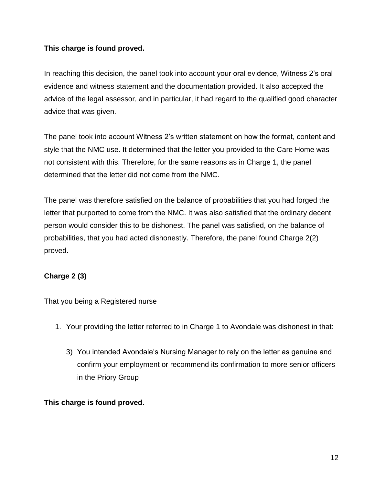## **This charge is found proved.**

In reaching this decision, the panel took into account your oral evidence, Witness 2's oral evidence and witness statement and the documentation provided. It also accepted the advice of the legal assessor, and in particular, it had regard to the qualified good character advice that was given.

The panel took into account Witness 2's written statement on how the format, content and style that the NMC use. It determined that the letter you provided to the Care Home was not consistent with this. Therefore, for the same reasons as in Charge 1, the panel determined that the letter did not come from the NMC.

The panel was therefore satisfied on the balance of probabilities that you had forged the letter that purported to come from the NMC. It was also satisfied that the ordinary decent person would consider this to be dishonest. The panel was satisfied, on the balance of probabilities, that you had acted dishonestly. Therefore, the panel found Charge 2(2) proved.

# **Charge 2 (3)**

That you being a Registered nurse

- 1. Your providing the letter referred to in Charge 1 to Avondale was dishonest in that:
	- 3) You intended Avondale's Nursing Manager to rely on the letter as genuine and confirm your employment or recommend its confirmation to more senior officers in the Priory Group

### **This charge is found proved.**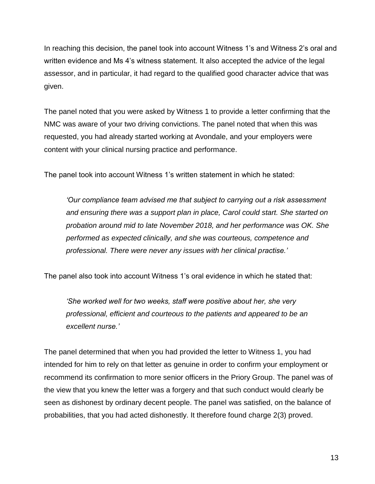In reaching this decision, the panel took into account Witness 1's and Witness 2's oral and written evidence and Ms 4's witness statement. It also accepted the advice of the legal assessor, and in particular, it had regard to the qualified good character advice that was given.

The panel noted that you were asked by Witness 1 to provide a letter confirming that the NMC was aware of your two driving convictions. The panel noted that when this was requested, you had already started working at Avondale, and your employers were content with your clinical nursing practice and performance.

The panel took into account Witness 1's written statement in which he stated:

*'Our compliance team advised me that subject to carrying out a risk assessment and ensuring there was a support plan in place, Carol could start. She started on probation around mid to late November 2018, and her performance was OK. She performed as expected clinically, and she was courteous, competence and professional. There were never any issues with her clinical practise.'*

The panel also took into account Witness 1's oral evidence in which he stated that:

*'She worked well for two weeks, staff were positive about her, she very professional, efficient and courteous to the patients and appeared to be an excellent nurse.'*

The panel determined that when you had provided the letter to Witness 1, you had intended for him to rely on that letter as genuine in order to confirm your employment or recommend its confirmation to more senior officers in the Priory Group. The panel was of the view that you knew the letter was a forgery and that such conduct would clearly be seen as dishonest by ordinary decent people. The panel was satisfied, on the balance of probabilities, that you had acted dishonestly. It therefore found charge 2(3) proved.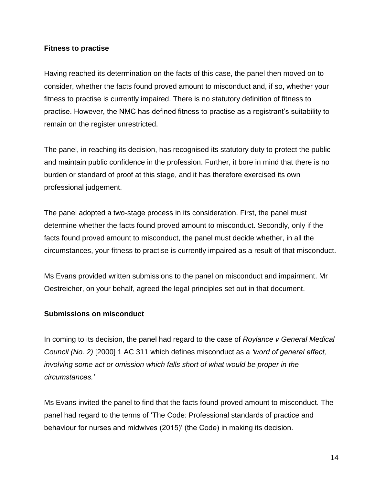#### **Fitness to practise**

Having reached its determination on the facts of this case, the panel then moved on to consider, whether the facts found proved amount to misconduct and, if so, whether your fitness to practise is currently impaired. There is no statutory definition of fitness to practise. However, the NMC has defined fitness to practise as a registrant's suitability to remain on the register unrestricted.

The panel, in reaching its decision, has recognised its statutory duty to protect the public and maintain public confidence in the profession. Further, it bore in mind that there is no burden or standard of proof at this stage, and it has therefore exercised its own professional judgement.

The panel adopted a two-stage process in its consideration. First, the panel must determine whether the facts found proved amount to misconduct. Secondly, only if the facts found proved amount to misconduct, the panel must decide whether, in all the circumstances, your fitness to practise is currently impaired as a result of that misconduct.

Ms Evans provided written submissions to the panel on misconduct and impairment. Mr Oestreicher, on your behalf, agreed the legal principles set out in that document.

### **Submissions on misconduct**

In coming to its decision, the panel had regard to the case of *Roylance v General Medical Council (No. 2)* [2000] 1 AC 311 which defines misconduct as a *'word of general effect, involving some act or omission which falls short of what would be proper in the circumstances.'*

Ms Evans invited the panel to find that the facts found proved amount to misconduct. The panel had regard to the terms of 'The Code: Professional standards of practice and behaviour for nurses and midwives (2015)' (the Code) in making its decision.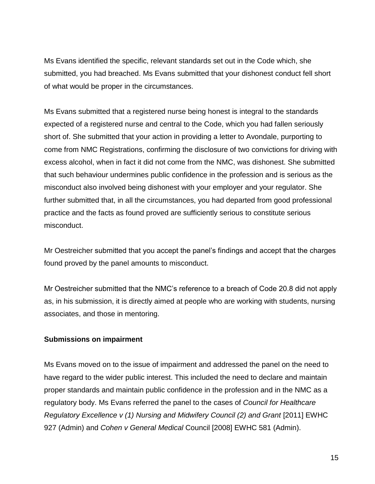Ms Evans identified the specific, relevant standards set out in the Code which, she submitted, you had breached. Ms Evans submitted that your dishonest conduct fell short of what would be proper in the circumstances.

Ms Evans submitted that a registered nurse being honest is integral to the standards expected of a registered nurse and central to the Code, which you had fallen seriously short of. She submitted that your action in providing a letter to Avondale, purporting to come from NMC Registrations, confirming the disclosure of two convictions for driving with excess alcohol, when in fact it did not come from the NMC, was dishonest. She submitted that such behaviour undermines public confidence in the profession and is serious as the misconduct also involved being dishonest with your employer and your regulator. She further submitted that, in all the circumstances, you had departed from good professional practice and the facts as found proved are sufficiently serious to constitute serious misconduct.

Mr Oestreicher submitted that you accept the panel's findings and accept that the charges found proved by the panel amounts to misconduct.

Mr Oestreicher submitted that the NMC's reference to a breach of Code 20.8 did not apply as, in his submission, it is directly aimed at people who are working with students, nursing associates, and those in mentoring.

### **Submissions on impairment**

Ms Evans moved on to the issue of impairment and addressed the panel on the need to have regard to the wider public interest. This included the need to declare and maintain proper standards and maintain public confidence in the profession and in the NMC as a regulatory body. Ms Evans referred the panel to the cases of *Council for Healthcare Regulatory Excellence v (1) Nursing and Midwifery Council (2) and Grant* [2011] EWHC 927 (Admin) and *Cohen v General Medical* Council [2008] EWHC 581 (Admin).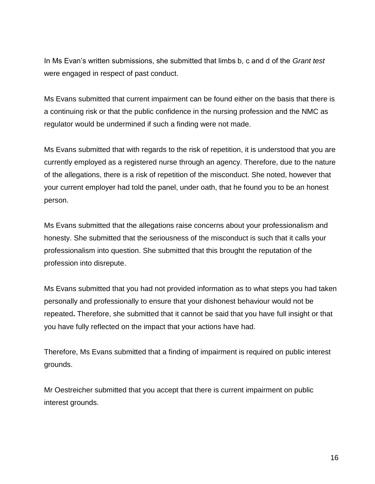In Ms Evan's written submissions, she submitted that limbs b, c and d of the *Grant test* were engaged in respect of past conduct.

Ms Evans submitted that current impairment can be found either on the basis that there is a continuing risk or that the public confidence in the nursing profession and the NMC as regulator would be undermined if such a finding were not made.

Ms Evans submitted that with regards to the risk of repetition, it is understood that you are currently employed as a registered nurse through an agency. Therefore, due to the nature of the allegations, there is a risk of repetition of the misconduct. She noted, however that your current employer had told the panel, under oath, that he found you to be an honest person.

Ms Evans submitted that the allegations raise concerns about your professionalism and honesty. She submitted that the seriousness of the misconduct is such that it calls your professionalism into question. She submitted that this brought the reputation of the profession into disrepute.

Ms Evans submitted that you had not provided information as to what steps you had taken personally and professionally to ensure that your dishonest behaviour would not be repeated**.** Therefore, she submitted that it cannot be said that you have full insight or that you have fully reflected on the impact that your actions have had.

Therefore, Ms Evans submitted that a finding of impairment is required on public interest grounds.

Mr Oestreicher submitted that you accept that there is current impairment on public interest grounds.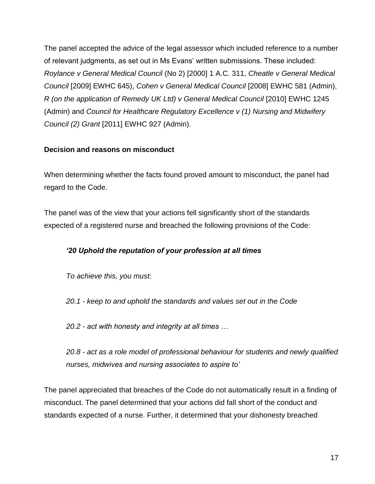The panel accepted the advice of the legal assessor which included reference to a number of relevant judgments, as set out in Ms Evans' written submissions. These included: *Roylance v General Medical Council* (No 2) [2000] 1 A.C. 311, *Cheatle v General Medical Council* [2009] EWHC 645), *Cohen v General Medical Council* [2008] EWHC 581 (Admin), *R* (on the application of Remedy UK Ltd) v General Medical Council [2010] EWHC 1245 (Admin) and *Council for Healthcare Regulatory Excellence v (1) Nursing and Midwifery Council (2) Grant* [2011] EWHC 927 (Admin).

## **Decision and reasons on misconduct**

When determining whether the facts found proved amount to misconduct, the panel had regard to the Code.

The panel was of the view that your actions fell significantly short of the standards expected of a registered nurse and breached the following provisions of the Code:

# *'20 Uphold the reputation of your profession at all times*

*To achieve this, you must:* 

*20.1 - keep to and uphold the standards and values set out in the Code* 

*20.2 - act with honesty and integrity at all times …* 

*20.8 - act as a role model of professional behaviour for students and newly qualified nurses, midwives and nursing associates to aspire to'* 

The panel appreciated that breaches of the Code do not automatically result in a finding of misconduct. The panel determined that your actions did fall short of the conduct and standards expected of a nurse. Further, it determined that your dishonesty breached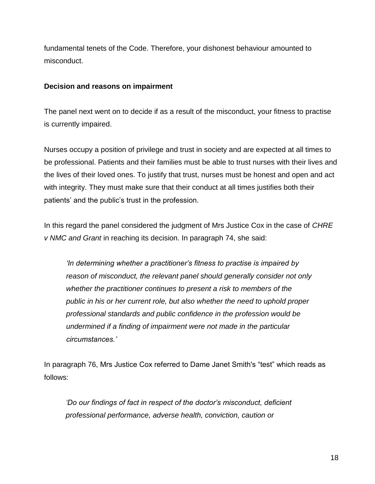fundamental tenets of the Code. Therefore, your dishonest behaviour amounted to misconduct.

#### **Decision and reasons on impairment**

The panel next went on to decide if as a result of the misconduct, your fitness to practise is currently impaired.

Nurses occupy a position of privilege and trust in society and are expected at all times to be professional. Patients and their families must be able to trust nurses with their lives and the lives of their loved ones. To justify that trust, nurses must be honest and open and act with integrity. They must make sure that their conduct at all times justifies both their patients' and the public's trust in the profession.

In this regard the panel considered the judgment of Mrs Justice Cox in the case of *CHRE v NMC and Grant* in reaching its decision. In paragraph 74, she said:

*'In determining whether a practitioner's fitness to practise is impaired by reason of misconduct, the relevant panel should generally consider not only whether the practitioner continues to present a risk to members of the public in his or her current role, but also whether the need to uphold proper professional standards and public confidence in the profession would be undermined if a finding of impairment were not made in the particular circumstances.'*

In paragraph 76, Mrs Justice Cox referred to Dame Janet Smith's "test" which reads as follows:

*'Do our findings of fact in respect of the doctor's misconduct, deficient professional performance, adverse health, conviction, caution or*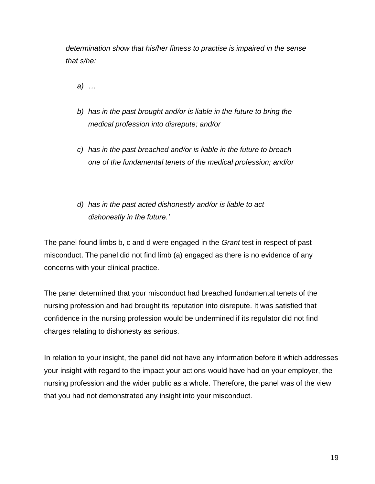*determination show that his/her fitness to practise is impaired in the sense that s/he:*

*a) …*

- *b) has in the past brought and/or is liable in the future to bring the medical profession into disrepute; and/or*
- *c) has in the past breached and/or is liable in the future to breach one of the fundamental tenets of the medical profession; and/or*
- *d) has in the past acted dishonestly and/or is liable to act dishonestly in the future.'*

The panel found limbs b, c and d were engaged in the *Grant* test in respect of past misconduct. The panel did not find limb (a) engaged as there is no evidence of any concerns with your clinical practice.

The panel determined that your misconduct had breached fundamental tenets of the nursing profession and had brought its reputation into disrepute. It was satisfied that confidence in the nursing profession would be undermined if its regulator did not find charges relating to dishonesty as serious.

In relation to your insight, the panel did not have any information before it which addresses your insight with regard to the impact your actions would have had on your employer, the nursing profession and the wider public as a whole. Therefore, the panel was of the view that you had not demonstrated any insight into your misconduct.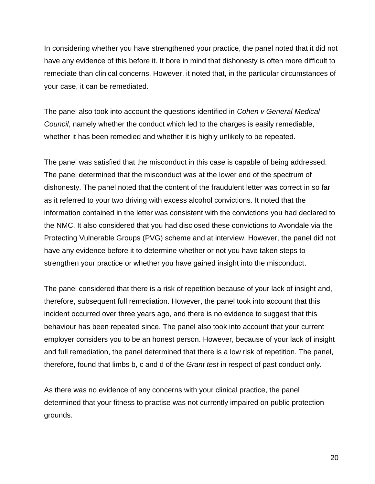In considering whether you have strengthened your practice, the panel noted that it did not have any evidence of this before it. It bore in mind that dishonesty is often more difficult to remediate than clinical concerns. However, it noted that, in the particular circumstances of your case, it can be remediated.

The panel also took into account the questions identified in *Cohen v General Medical Council*, namely whether the conduct which led to the charges is easily remediable, whether it has been remedied and whether it is highly unlikely to be repeated.

The panel was satisfied that the misconduct in this case is capable of being addressed. The panel determined that the misconduct was at the lower end of the spectrum of dishonesty. The panel noted that the content of the fraudulent letter was correct in so far as it referred to your two driving with excess alcohol convictions. It noted that the information contained in the letter was consistent with the convictions you had declared to the NMC. It also considered that you had disclosed these convictions to Avondale via the Protecting Vulnerable Groups (PVG) scheme and at interview. However, the panel did not have any evidence before it to determine whether or not you have taken steps to strengthen your practice or whether you have gained insight into the misconduct.

The panel considered that there is a risk of repetition because of your lack of insight and, therefore, subsequent full remediation. However, the panel took into account that this incident occurred over three years ago, and there is no evidence to suggest that this behaviour has been repeated since. The panel also took into account that your current employer considers you to be an honest person. However, because of your lack of insight and full remediation, the panel determined that there is a low risk of repetition. The panel, therefore, found that limbs b, c and d of the *Grant test* in respect of past conduct only.

As there was no evidence of any concerns with your clinical practice, the panel determined that your fitness to practise was not currently impaired on public protection grounds.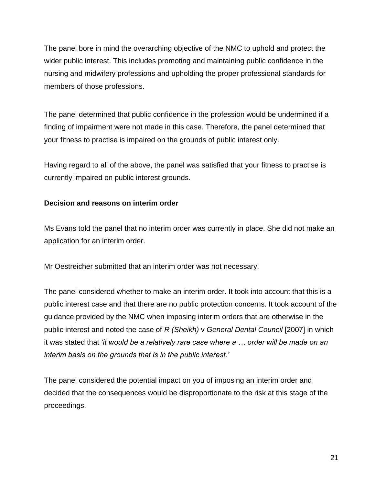The panel bore in mind the overarching objective of the NMC to uphold and protect the wider public interest. This includes promoting and maintaining public confidence in the nursing and midwifery professions and upholding the proper professional standards for members of those professions.

The panel determined that public confidence in the profession would be undermined if a finding of impairment were not made in this case. Therefore, the panel determined that your fitness to practise is impaired on the grounds of public interest only.

Having regard to all of the above, the panel was satisfied that your fitness to practise is currently impaired on public interest grounds.

### **Decision and reasons on interim order**

Ms Evans told the panel that no interim order was currently in place. She did not make an application for an interim order.

Mr Oestreicher submitted that an interim order was not necessary.

The panel considered whether to make an interim order. It took into account that this is a public interest case and that there are no public protection concerns. It took account of the guidance provided by the NMC when imposing interim orders that are otherwise in the public interest and noted the case of *R (Sheikh)* v *General Dental Council* [2007] in which it was stated that *'it would be a relatively rare case where a … order will be made on an interim basis on the grounds that is in the public interest.'*

The panel considered the potential impact on you of imposing an interim order and decided that the consequences would be disproportionate to the risk at this stage of the proceedings.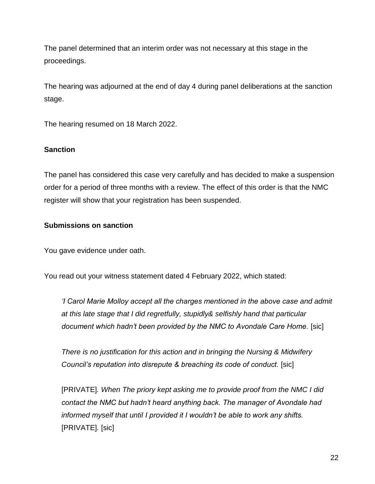The panel determined that an interim order was not necessary at this stage in the proceedings.

The hearing was adjourned at the end of day 4 during panel deliberations at the sanction stage.

The hearing resumed on 18 March 2022.

#### **Sanction**

The panel has considered this case very carefully and has decided to make a suspension order for a period of three months with a review. The effect of this order is that the NMC register will show that your registration has been suspended.

#### **Submissions on sanction**

You gave evidence under oath.

You read out your witness statement dated 4 February 2022, which stated:

*'I Carol Marie Molloy accept all the charges mentioned in the above case and admit at this late stage that I did regretfully, stupidly& selfishly hand that particular document which hadn't been provided by the NMC to Avondale Care Home.* [sic]

*There is no justification for this action and in bringing the Nursing & Midwifery Council's reputation into disrepute & breaching its code of conduct.* [sic]

[PRIVATE]*. When The priory kept asking me to provide proof from the NMC I did contact the NMC but hadn't heard anything back. The manager of Avondale had informed myself that until I provided it I wouldn't be able to work any shifts.*  [PRIVATE]*.* [sic]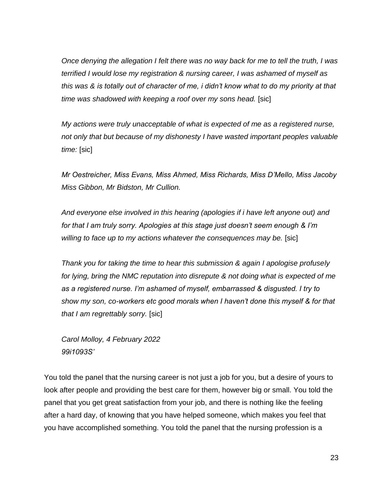*Once denying the allegation I felt there was no way back for me to tell the truth, I was terrified I would lose my registration & nursing career, I was ashamed of myself as this was & is totally out of character of me, i didn't know what to do my priority at that time was shadowed with keeping a roof over my sons head.* [sic]

*My actions were truly unacceptable of what is expected of me as a registered nurse, not only that but because of my dishonesty I have wasted important peoples valuable time:* [sic]

*Mr Oestreicher, Miss Evans, Miss Ahmed, Miss Richards, Miss D'Mello, Miss Jacoby Miss Gibbon, Mr Bidston, Mr Cullion.* 

*And everyone else involved in this hearing (apologies if i have left anyone out) and for that I am truly sorry. Apologies at this stage just doesn't seem enough & I'm*  willing to face up to my actions whatever the consequences may be. [sic]

*Thank you for taking the time to hear this submission & again I apologise profusely for lying, bring the NMC reputation into disrepute & not doing what is expected of me as a registered nurse. I'm ashamed of myself, embarrassed & disgusted. I try to show my son, co-workers etc good morals when I haven't done this myself & for that that I am regrettably sorry.* [sic]

*Carol Molloy, 4 February 2022 99i1093S'* 

You told the panel that the nursing career is not just a job for you, but a desire of yours to look after people and providing the best care for them, however big or small. You told the panel that you get great satisfaction from your job, and there is nothing like the feeling after a hard day, of knowing that you have helped someone, which makes you feel that you have accomplished something. You told the panel that the nursing profession is a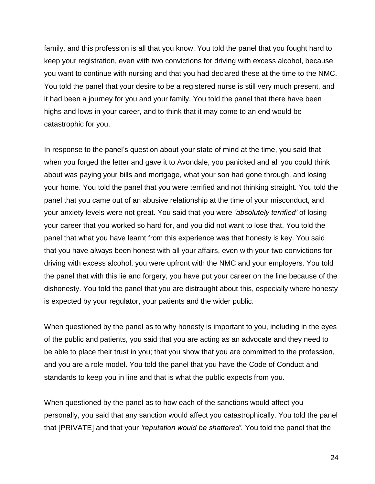family, and this profession is all that you know. You told the panel that you fought hard to keep your registration, even with two convictions for driving with excess alcohol, because you want to continue with nursing and that you had declared these at the time to the NMC. You told the panel that your desire to be a registered nurse is still very much present, and it had been a journey for you and your family. You told the panel that there have been highs and lows in your career, and to think that it may come to an end would be catastrophic for you.

In response to the panel's question about your state of mind at the time, you said that when you forged the letter and gave it to Avondale, you panicked and all you could think about was paying your bills and mortgage, what your son had gone through, and losing your home. You told the panel that you were terrified and not thinking straight. You told the panel that you came out of an abusive relationship at the time of your misconduct, and your anxiety levels were not great. You said that you were *'absolutely terrified'* of losing your career that you worked so hard for, and you did not want to lose that. You told the panel that what you have learnt from this experience was that honesty is key. You said that you have always been honest with all your affairs, even with your two convictions for driving with excess alcohol, you were upfront with the NMC and your employers. You told the panel that with this lie and forgery, you have put your career on the line because of the dishonesty. You told the panel that you are distraught about this, especially where honesty is expected by your regulator, your patients and the wider public.

When questioned by the panel as to why honesty is important to you, including in the eyes of the public and patients, you said that you are acting as an advocate and they need to be able to place their trust in you; that you show that you are committed to the profession, and you are a role model. You told the panel that you have the Code of Conduct and standards to keep you in line and that is what the public expects from you.

When questioned by the panel as to how each of the sanctions would affect you personally, you said that any sanction would affect you catastrophically. You told the panel that [PRIVATE] and that your *'reputation would be shattered'.* You told the panel that the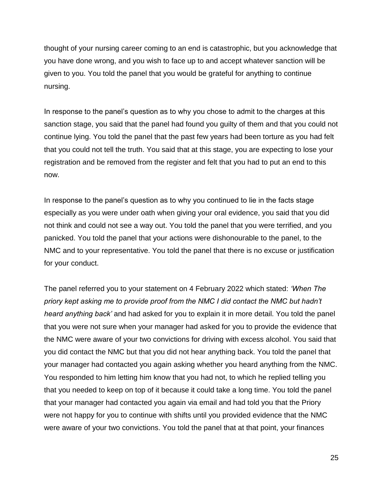thought of your nursing career coming to an end is catastrophic, but you acknowledge that you have done wrong, and you wish to face up to and accept whatever sanction will be given to you. You told the panel that you would be grateful for anything to continue nursing.

In response to the panel's question as to why you chose to admit to the charges at this sanction stage, you said that the panel had found you guilty of them and that you could not continue lying. You told the panel that the past few years had been torture as you had felt that you could not tell the truth. You said that at this stage, you are expecting to lose your registration and be removed from the register and felt that you had to put an end to this now.

In response to the panel's question as to why you continued to lie in the facts stage especially as you were under oath when giving your oral evidence, you said that you did not think and could not see a way out. You told the panel that you were terrified, and you panicked. You told the panel that your actions were dishonourable to the panel, to the NMC and to your representative. You told the panel that there is no excuse or justification for your conduct.

The panel referred you to your statement on 4 February 2022 which stated: *'When The priory kept asking me to provide proof from the NMC I did contact the NMC but hadn't heard anything back'* and had asked for you to explain it in more detail. You told the panel that you were not sure when your manager had asked for you to provide the evidence that the NMC were aware of your two convictions for driving with excess alcohol. You said that you did contact the NMC but that you did not hear anything back. You told the panel that your manager had contacted you again asking whether you heard anything from the NMC. You responded to him letting him know that you had not, to which he replied telling you that you needed to keep on top of it because it could take a long time. You told the panel that your manager had contacted you again via email and had told you that the Priory were not happy for you to continue with shifts until you provided evidence that the NMC were aware of your two convictions. You told the panel that at that point, your finances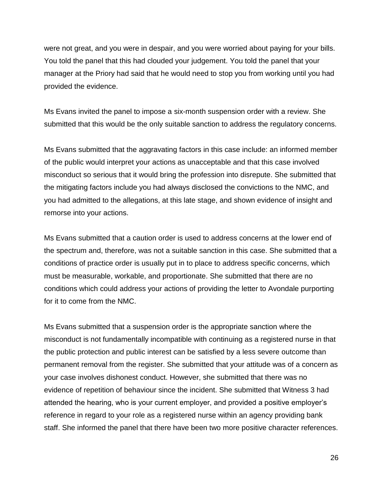were not great, and you were in despair, and you were worried about paying for your bills. You told the panel that this had clouded your judgement. You told the panel that your manager at the Priory had said that he would need to stop you from working until you had provided the evidence.

Ms Evans invited the panel to impose a six-month suspension order with a review. She submitted that this would be the only suitable sanction to address the regulatory concerns.

Ms Evans submitted that the aggravating factors in this case include: an informed member of the public would interpret your actions as unacceptable and that this case involved misconduct so serious that it would bring the profession into disrepute. She submitted that the mitigating factors include you had always disclosed the convictions to the NMC, and you had admitted to the allegations, at this late stage, and shown evidence of insight and remorse into your actions.

Ms Evans submitted that a caution order is used to address concerns at the lower end of the spectrum and, therefore, was not a suitable sanction in this case. She submitted that a conditions of practice order is usually put in to place to address specific concerns, which must be measurable, workable, and proportionate. She submitted that there are no conditions which could address your actions of providing the letter to Avondale purporting for it to come from the NMC.

Ms Evans submitted that a suspension order is the appropriate sanction where the misconduct is not fundamentally incompatible with continuing as a registered nurse in that the public protection and public interest can be satisfied by a less severe outcome than permanent removal from the register. She submitted that your attitude was of a concern as your case involves dishonest conduct. However, she submitted that there was no evidence of repetition of behaviour since the incident. She submitted that Witness 3 had attended the hearing, who is your current employer, and provided a positive employer's reference in regard to your role as a registered nurse within an agency providing bank staff. She informed the panel that there have been two more positive character references.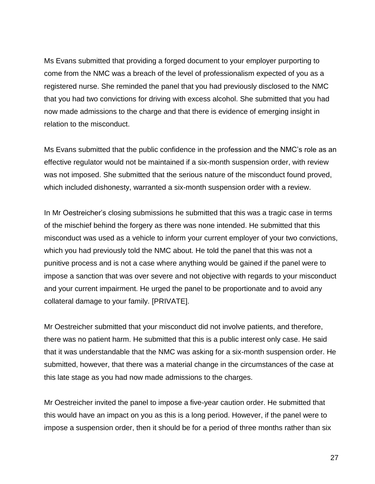Ms Evans submitted that providing a forged document to your employer purporting to come from the NMC was a breach of the level of professionalism expected of you as a registered nurse. She reminded the panel that you had previously disclosed to the NMC that you had two convictions for driving with excess alcohol. She submitted that you had now made admissions to the charge and that there is evidence of emerging insight in relation to the misconduct.

Ms Evans submitted that the public confidence in the profession and the NMC's role as an effective regulator would not be maintained if a six-month suspension order, with review was not imposed. She submitted that the serious nature of the misconduct found proved, which included dishonesty, warranted a six-month suspension order with a review.

In Mr Oestreicher's closing submissions he submitted that this was a tragic case in terms of the mischief behind the forgery as there was none intended. He submitted that this misconduct was used as a vehicle to inform your current employer of your two convictions, which you had previously told the NMC about. He told the panel that this was not a punitive process and is not a case where anything would be gained if the panel were to impose a sanction that was over severe and not objective with regards to your misconduct and your current impairment. He urged the panel to be proportionate and to avoid any collateral damage to your family. [PRIVATE].

Mr Oestreicher submitted that your misconduct did not involve patients, and therefore, there was no patient harm. He submitted that this is a public interest only case. He said that it was understandable that the NMC was asking for a six-month suspension order. He submitted, however, that there was a material change in the circumstances of the case at this late stage as you had now made admissions to the charges.

Mr Oestreicher invited the panel to impose a five-year caution order. He submitted that this would have an impact on you as this is a long period. However, if the panel were to impose a suspension order, then it should be for a period of three months rather than six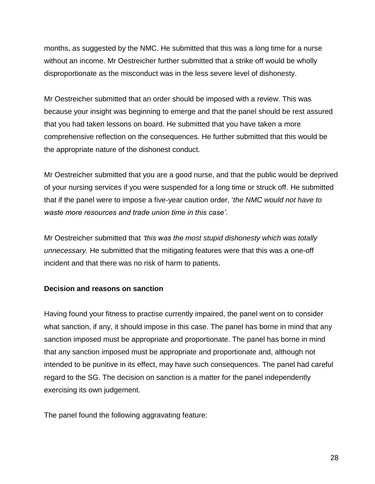months, as suggested by the NMC. He submitted that this was a long time for a nurse without an income. Mr Oestreicher further submitted that a strike off would be wholly disproportionate as the misconduct was in the less severe level of dishonesty.

Mr Oestreicher submitted that an order should be imposed with a review. This was because your insight was beginning to emerge and that the panel should be rest assured that you had taken lessons on board. He submitted that you have taken a more comprehensive reflection on the consequences. He further submitted that this would be the appropriate nature of the dishonest conduct.

Mr Oestreicher submitted that you are a good nurse, and that the public would be deprived of your nursing services if you were suspended for a long time or struck off. He submitted that if the panel were to impose a five-year caution order, '*the NMC would not have to waste more resources and trade union time in this case'*.

Mr Oestreicher submitted that *'this was the most stupid dishonesty which was totally unnecessary.* He submitted that the mitigating features were that this was a one-off incident and that there was no risk of harm to patients.

### **Decision and reasons on sanction**

Having found your fitness to practise currently impaired, the panel went on to consider what sanction, if any, it should impose in this case. The panel has borne in mind that any sanction imposed must be appropriate and proportionate. The panel has borne in mind that any sanction imposed must be appropriate and proportionate and, although not intended to be punitive in its effect, may have such consequences. The panel had careful regard to the SG. The decision on sanction is a matter for the panel independently exercising its own judgement.

The panel found the following aggravating feature: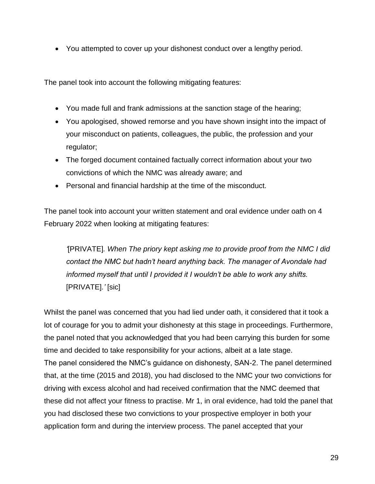You attempted to cover up your dishonest conduct over a lengthy period.

The panel took into account the following mitigating features:

- You made full and frank admissions at the sanction stage of the hearing;
- You apologised, showed remorse and you have shown insight into the impact of your misconduct on patients, colleagues, the public, the profession and your regulator;
- The forged document contained factually correct information about your two convictions of which the NMC was already aware; and
- Personal and financial hardship at the time of the misconduct.

The panel took into account your written statement and oral evidence under oath on 4 February 2022 when looking at mitigating features:

*'*[PRIVATE]*. When The priory kept asking me to provide proof from the NMC I did contact the NMC but hadn't heard anything back. The manager of Avondale had informed myself that until I provided it I wouldn't be able to work any shifts.*  [PRIVATE]*.'* [sic]

Whilst the panel was concerned that you had lied under oath, it considered that it took a lot of courage for you to admit your dishonesty at this stage in proceedings. Furthermore, the panel noted that you acknowledged that you had been carrying this burden for some time and decided to take responsibility for your actions, albeit at a late stage. The panel considered the NMC's guidance on dishonesty, SAN-2. The panel determined that, at the time (2015 and 2018), you had disclosed to the NMC your two convictions for driving with excess alcohol and had received confirmation that the NMC deemed that these did not affect your fitness to practise. Mr 1, in oral evidence, had told the panel that you had disclosed these two convictions to your prospective employer in both your application form and during the interview process. The panel accepted that your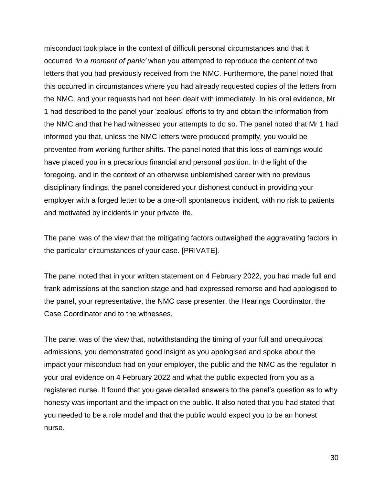misconduct took place in the context of difficult personal circumstances and that it occurred *'in a moment of panic'* when you attempted to reproduce the content of two letters that you had previously received from the NMC. Furthermore, the panel noted that this occurred in circumstances where you had already requested copies of the letters from the NMC, and your requests had not been dealt with immediately. In his oral evidence, Mr 1 had described to the panel your 'zealous' efforts to try and obtain the information from the NMC and that he had witnessed your attempts to do so. The panel noted that Mr 1 had informed you that, unless the NMC letters were produced promptly, you would be prevented from working further shifts. The panel noted that this loss of earnings would have placed you in a precarious financial and personal position. In the light of the foregoing, and in the context of an otherwise unblemished career with no previous disciplinary findings, the panel considered your dishonest conduct in providing your employer with a forged letter to be a one-off spontaneous incident, with no risk to patients and motivated by incidents in your private life.

The panel was of the view that the mitigating factors outweighed the aggravating factors in the particular circumstances of your case. [PRIVATE].

The panel noted that in your written statement on 4 February 2022, you had made full and frank admissions at the sanction stage and had expressed remorse and had apologised to the panel, your representative, the NMC case presenter, the Hearings Coordinator, the Case Coordinator and to the witnesses.

The panel was of the view that, notwithstanding the timing of your full and unequivocal admissions, you demonstrated good insight as you apologised and spoke about the impact your misconduct had on your employer, the public and the NMC as the regulator in your oral evidence on 4 February 2022 and what the public expected from you as a registered nurse. It found that you gave detailed answers to the panel's question as to why honesty was important and the impact on the public. It also noted that you had stated that you needed to be a role model and that the public would expect you to be an honest nurse.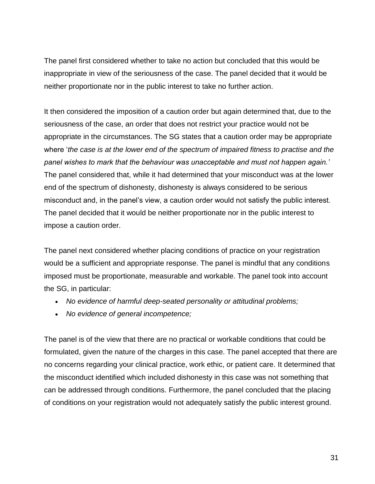The panel first considered whether to take no action but concluded that this would be inappropriate in view of the seriousness of the case. The panel decided that it would be neither proportionate nor in the public interest to take no further action.

It then considered the imposition of a caution order but again determined that, due to the seriousness of the case, an order that does not restrict your practice would not be appropriate in the circumstances. The SG states that a caution order may be appropriate where '*the case is at the lower end of the spectrum of impaired fitness to practise and the panel wishes to mark that the behaviour was unacceptable and must not happen again.'* The panel considered that, while it had determined that your misconduct was at the lower end of the spectrum of dishonesty, dishonesty is always considered to be serious misconduct and, in the panel's view, a caution order would not satisfy the public interest. The panel decided that it would be neither proportionate nor in the public interest to impose a caution order.

The panel next considered whether placing conditions of practice on your registration would be a sufficient and appropriate response. The panel is mindful that any conditions imposed must be proportionate, measurable and workable. The panel took into account the SG, in particular:

- *No evidence of harmful deep-seated personality or attitudinal problems;*
- *No evidence of general incompetence;*

The panel is of the view that there are no practical or workable conditions that could be formulated, given the nature of the charges in this case. The panel accepted that there are no concerns regarding your clinical practice, work ethic, or patient care. It determined that the misconduct identified which included dishonesty in this case was not something that can be addressed through conditions. Furthermore, the panel concluded that the placing of conditions on your registration would not adequately satisfy the public interest ground.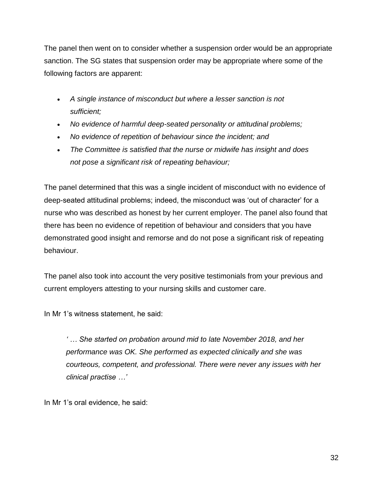The panel then went on to consider whether a suspension order would be an appropriate sanction. The SG states that suspension order may be appropriate where some of the following factors are apparent:

- *A single instance of misconduct but where a lesser sanction is not sufficient;*
- *No evidence of harmful deep-seated personality or attitudinal problems;*
- *No evidence of repetition of behaviour since the incident; and*
- *The Committee is satisfied that the nurse or midwife has insight and does not pose a significant risk of repeating behaviour;*

The panel determined that this was a single incident of misconduct with no evidence of deep-seated attitudinal problems; indeed, the misconduct was 'out of character' for a nurse who was described as honest by her current employer. The panel also found that there has been no evidence of repetition of behaviour and considers that you have demonstrated good insight and remorse and do not pose a significant risk of repeating behaviour.

The panel also took into account the very positive testimonials from your previous and current employers attesting to your nursing skills and customer care.

In Mr 1's witness statement, he said:

*' … She started on probation around mid to late November 2018, and her performance was OK. She performed as expected clinically and she was courteous, competent, and professional. There were never any issues with her clinical practise …'*

In Mr 1's oral evidence, he said: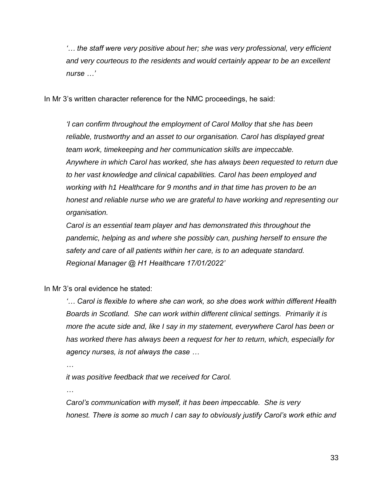*'… the staff were very positive about her; she was very professional, very efficient and very courteous to the residents and would certainly appear to be an excellent nurse …'*

In Mr 3's written character reference for the NMC proceedings, he said:

*'I can confirm throughout the employment of Carol Molloy that she has been reliable, trustworthy and an asset to our organisation. Carol has displayed great team work, timekeeping and her communication skills are impeccable. Anywhere in which Carol has worked, she has always been requested to return due to her vast knowledge and clinical capabilities. Carol has been employed and working with h1 Healthcare for 9 months and in that time has proven to be an honest and reliable nurse who we are grateful to have working and representing our organisation.*

*Carol is an essential team player and has demonstrated this throughout the pandemic, helping as and where she possibly can, pushing herself to ensure the safety and care of all patients within her care, is to an adequate standard. Regional Manager @ H1 Healthcare 17/01/2022'*

In Mr 3's oral evidence he stated:

*'… Carol is flexible to where she can work, so she does work within different Health Boards in Scotland. She can work within different clinical settings. Primarily it is more the acute side and, like I say in my statement, everywhere Carol has been or has worked there has always been a request for her to return, which, especially for agency nurses, is not always the case …*

*…*

*it was positive feedback that we received for Carol.*

*…*

*Carol's communication with myself, it has been impeccable. She is very honest. There is some so much I can say to obviously justify Carol's work ethic and*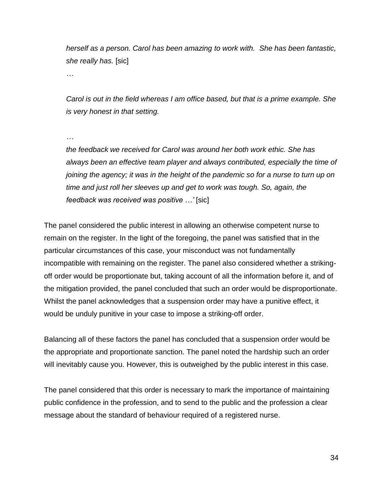*herself as a person. Carol has been amazing to work with. She has been fantastic, she really has.* [sic]

*…*

*Carol is out in the field whereas I am office based, but that is a prime example. She is very honest in that setting.* 

*…*

*the feedback we received for Carol was around her both work ethic. She has always been an effective team player and always contributed, especially the time of joining the agency; it was in the height of the pandemic so for a nurse to turn up on time and just roll her sleeves up and get to work was tough. So, again, the feedback was received was positive …'* [sic]

The panel considered the public interest in allowing an otherwise competent nurse to remain on the register. In the light of the foregoing, the panel was satisfied that in the particular circumstances of this case, your misconduct was not fundamentally incompatible with remaining on the register. The panel also considered whether a strikingoff order would be proportionate but, taking account of all the information before it, and of the mitigation provided, the panel concluded that such an order would be disproportionate. Whilst the panel acknowledges that a suspension order may have a punitive effect, it would be unduly punitive in your case to impose a striking-off order.

Balancing all of these factors the panel has concluded that a suspension order would be the appropriate and proportionate sanction. The panel noted the hardship such an order will inevitably cause you. However, this is outweighed by the public interest in this case.

The panel considered that this order is necessary to mark the importance of maintaining public confidence in the profession, and to send to the public and the profession a clear message about the standard of behaviour required of a registered nurse.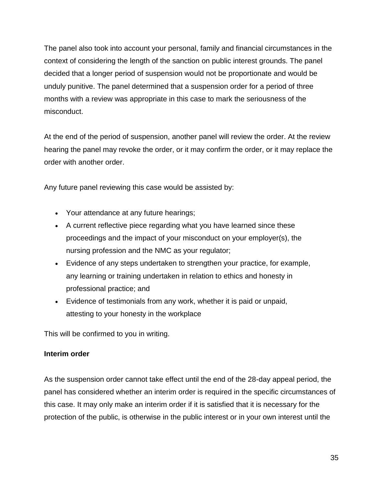The panel also took into account your personal, family and financial circumstances in the context of considering the length of the sanction on public interest grounds. The panel decided that a longer period of suspension would not be proportionate and would be unduly punitive. The panel determined that a suspension order for a period of three months with a review was appropriate in this case to mark the seriousness of the misconduct.

At the end of the period of suspension, another panel will review the order. At the review hearing the panel may revoke the order, or it may confirm the order, or it may replace the order with another order.

Any future panel reviewing this case would be assisted by:

- Your attendance at any future hearings;
- A current reflective piece regarding what you have learned since these proceedings and the impact of your misconduct on your employer(s), the nursing profession and the NMC as your regulator;
- Evidence of any steps undertaken to strengthen your practice, for example, any learning or training undertaken in relation to ethics and honesty in professional practice; and
- Evidence of testimonials from any work, whether it is paid or unpaid, attesting to your honesty in the workplace

This will be confirmed to you in writing.

### **Interim order**

As the suspension order cannot take effect until the end of the 28-day appeal period, the panel has considered whether an interim order is required in the specific circumstances of this case. It may only make an interim order if it is satisfied that it is necessary for the protection of the public, is otherwise in the public interest or in your own interest until the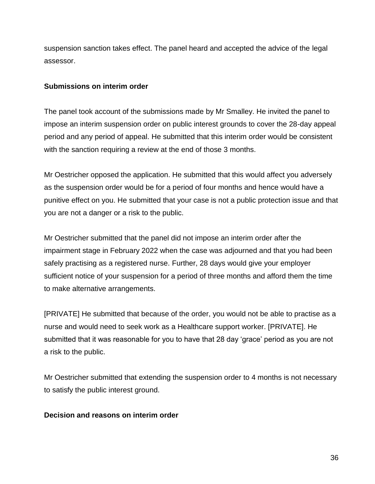suspension sanction takes effect. The panel heard and accepted the advice of the legal assessor.

#### **Submissions on interim order**

The panel took account of the submissions made by Mr Smalley. He invited the panel to impose an interim suspension order on public interest grounds to cover the 28-day appeal period and any period of appeal. He submitted that this interim order would be consistent with the sanction requiring a review at the end of those 3 months.

Mr Oestricher opposed the application. He submitted that this would affect you adversely as the suspension order would be for a period of four months and hence would have a punitive effect on you. He submitted that your case is not a public protection issue and that you are not a danger or a risk to the public.

Mr Oestricher submitted that the panel did not impose an interim order after the impairment stage in February 2022 when the case was adjourned and that you had been safely practising as a registered nurse. Further, 28 days would give your employer sufficient notice of your suspension for a period of three months and afford them the time to make alternative arrangements.

[PRIVATE] He submitted that because of the order, you would not be able to practise as a nurse and would need to seek work as a Healthcare support worker. [PRIVATE]. He submitted that it was reasonable for you to have that 28 day 'grace' period as you are not a risk to the public.

Mr Oestricher submitted that extending the suspension order to 4 months is not necessary to satisfy the public interest ground.

### **Decision and reasons on interim order**